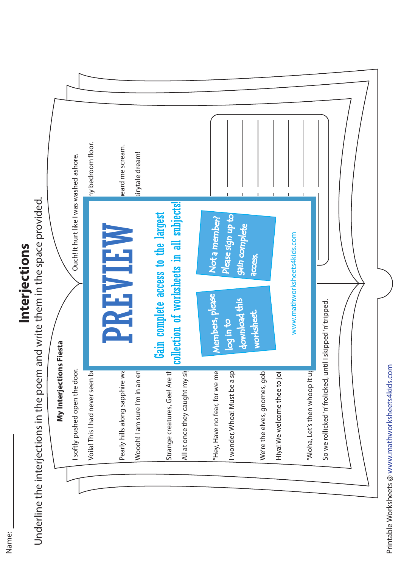

Underline the interjections in the poem and write them in the space provided. **Interjections in the poem and write them in the space provided.**<br>Underline the interjections in the poem and write them in the space provided.



Printable Worksheets @ www.mathworksheets4kids.com

Printable Worksheets @ www.mathworksheets4kids.com

Name: